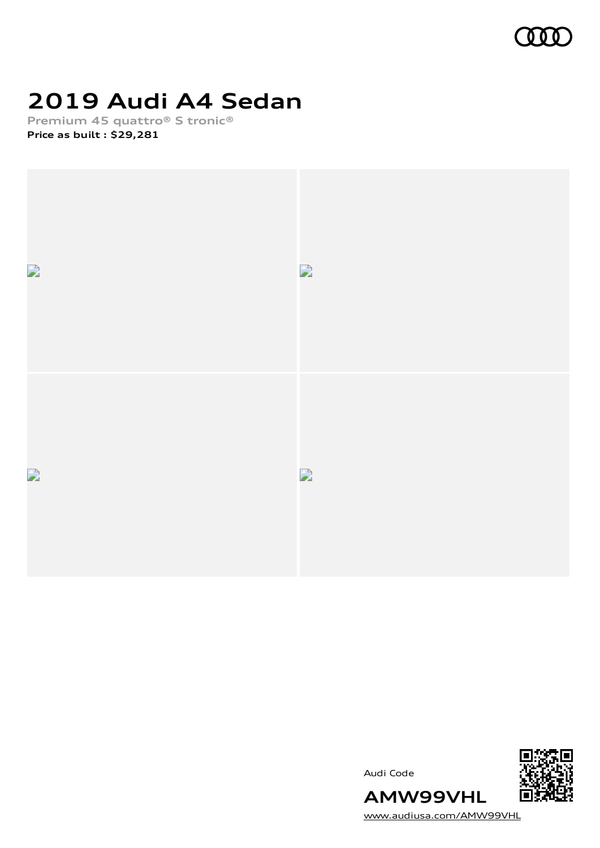

## **2019 Audi A4 Sedan**

**Premium 45 quattro® S tronic® Price as built [:](#page-9-0) \$29,281**







[www.audiusa.com/AMW99VHL](https://www.audiusa.com/AMW99VHL)

**AMW99VHL**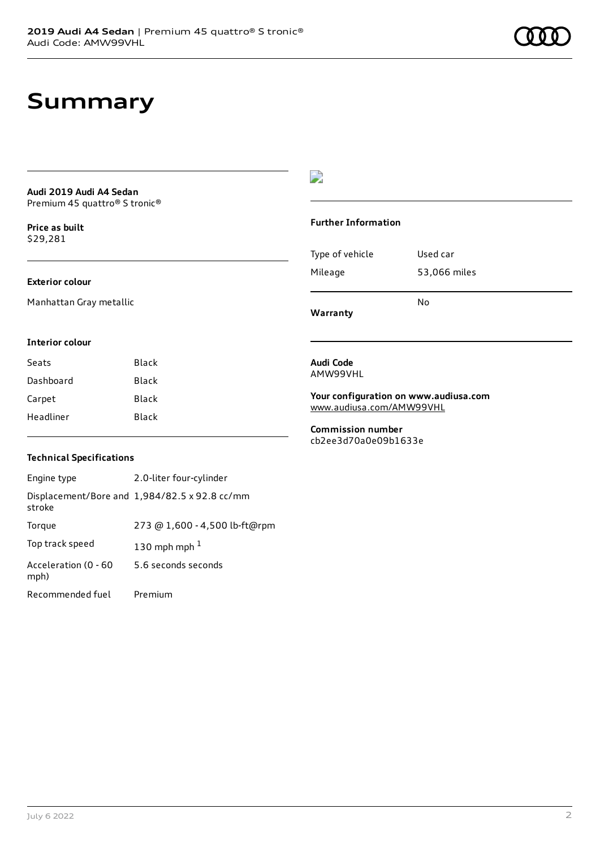### **Summary**

#### **Audi 2019 Audi A4 Sedan** Premium 45 quattro® S tronic®

**Price as buil[t](#page-9-0)** \$29,281

#### **Exterior colour**

Manhattan Gray metallic

#### **Interior colour**

| Black |
|-------|
| Black |
| Black |
| Black |
|       |

#### $\overline{\phantom{a}}$

#### **Further Information**

|                 | N٥           |
|-----------------|--------------|
| Mileage         | 53,066 miles |
| Type of vehicle | Used car     |

**Warranty**

#### **Audi Code** AMW99VHL

**Your configuration on www.audiusa.com** [www.audiusa.com/AMW99VHL](https://www.audiusa.com/AMW99VHL)

**Commission number** cb2ee3d70a0e09b1633e

#### **Technical Specifications**

| Engine type                  | 2.0-liter four-cylinder                       |
|------------------------------|-----------------------------------------------|
| stroke                       | Displacement/Bore and 1,984/82.5 x 92.8 cc/mm |
| Torque                       | 273 @ 1,600 - 4,500 lb-ft@rpm                 |
| Top track speed              | 130 mph mph $1$                               |
| Acceleration (0 - 60<br>mph) | 5.6 seconds seconds                           |
| Recommended fuel             | Premium                                       |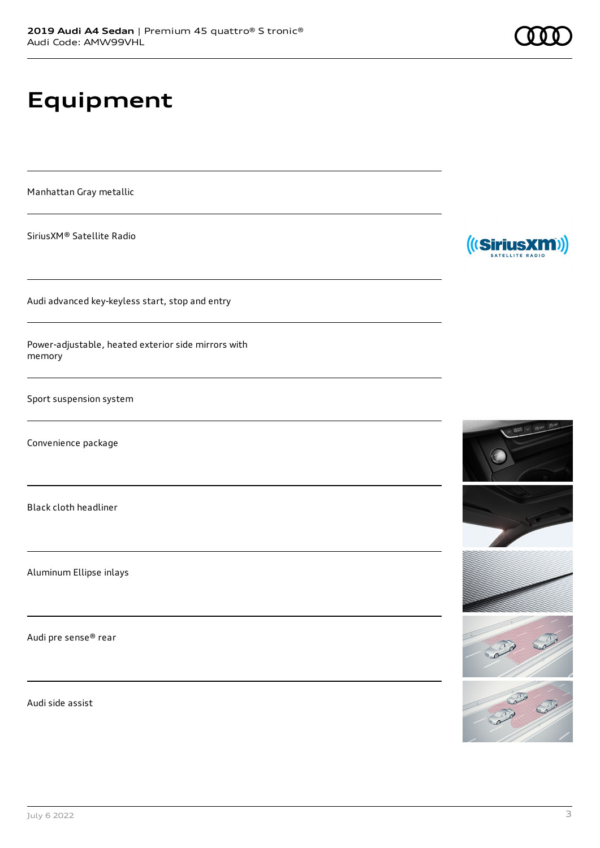# **Equipment**

Manhattan Gray metallic

SiriusXM® Satellite Radio

Audi advanced key-keyless start, stop and entry

Power-adjustable, heated exterior side mirrors with memory

Sport suspension system

Convenience package

Black cloth headliner

Aluminum Ellipse inlays

Audi pre sense® rear

Audi side assist



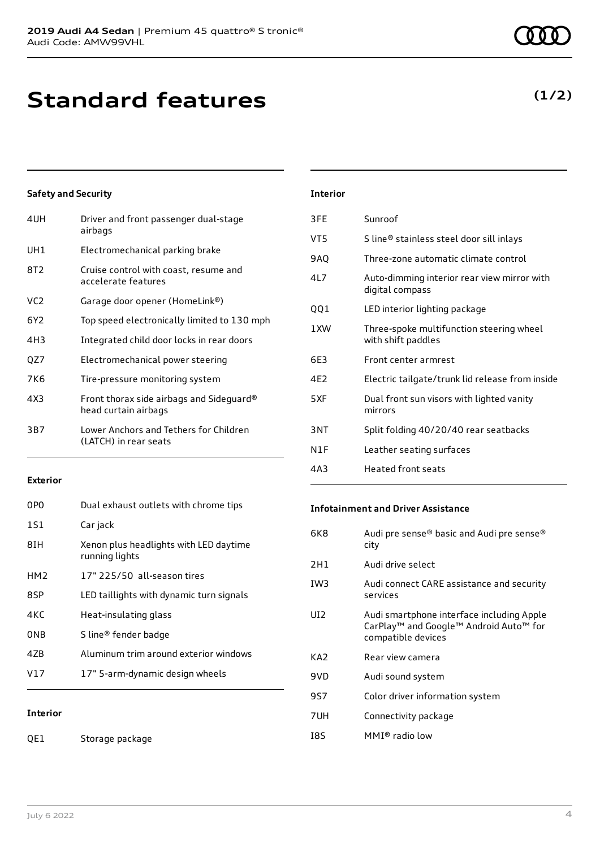### **Standard features**

#### **Safety and Security**

| 4UH | Driver and front passenger dual-stage<br>airbags                 |
|-----|------------------------------------------------------------------|
| UH1 | Electromechanical parking brake                                  |
| 8T2 | Cruise control with coast, resume and<br>accelerate features     |
| VC2 | Garage door opener (HomeLink®)                                   |
| 6Y2 | Top speed electronically limited to 130 mph                      |
| 4H3 | Integrated child door locks in rear doors                        |
| QZ7 | Electromechanical power steering                                 |
| 7K6 | Tire-pressure monitoring system                                  |
| 4X3 | Front thorax side airbags and Sideguard®<br>head curtain airbags |
| 3B7 | Lower Anchors and Tethers for Children<br>(LATCH) in rear seats  |
|     |                                                                  |

#### **Exterior**

| 0PO             | Dual exhaust outlets with chrome tips                    |
|-----------------|----------------------------------------------------------|
| 1S1             | Car jack                                                 |
| 8TH             | Xenon plus headlights with LED daytime<br>running lights |
| HM <sub>2</sub> | 17" 225/50 all-season tires                              |
| 8SP             | LED taillights with dynamic turn signals                 |
| 4KC             | Heat-insulating glass                                    |
| 0NB             | S line <sup>®</sup> fender badge                         |
| 47B             | Aluminum trim around exterior windows                    |
| V17             | 17" 5-arm-dynamic design wheels                          |
|                 |                                                          |

#### **Interior**

### **Interior**

| 3FE | Sunroof                                                        |
|-----|----------------------------------------------------------------|
| VT5 | S line® stainless steel door sill inlays                       |
| 9AQ | Three-zone automatic climate control                           |
| 4L7 | Auto-dimming interior rear view mirror with<br>digital compass |
| QQ1 | LED interior lighting package                                  |
| 1XW | Three-spoke multifunction steering wheel<br>with shift paddles |
| 6E3 | Front center armrest                                           |
| 4E2 | Electric tailgate/trunk lid release from inside                |
| 5XF | Dual front sun visors with lighted vanity<br>mirrors           |
| 3NT | Split folding 40/20/40 rear seatbacks                          |
| N1F | Leather seating surfaces                                       |
| 4A3 | <b>Heated front seats</b>                                      |

#### **Infotainment and Driver Assistance**

| Audi pre sense® basic and Audi pre sense®<br>city                                                                     |
|-----------------------------------------------------------------------------------------------------------------------|
| Audi drive select                                                                                                     |
| Audi connect CARE assistance and security<br>services                                                                 |
| Audi smartphone interface including Apple<br>CarPlay <sup>™</sup> and Google™ Android Auto™ for<br>compatible devices |
| Rear view camera                                                                                                      |
| Audi sound system                                                                                                     |
| Color driver information system                                                                                       |
| Connectivity package                                                                                                  |
| $MMI®$ radio low                                                                                                      |
|                                                                                                                       |

### **(1/2)**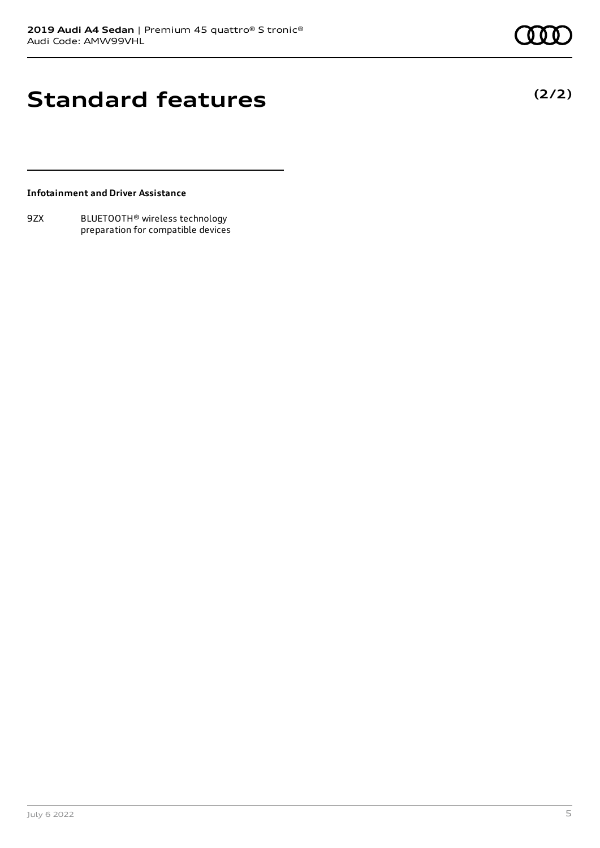### **Standard features**

**(2/2)**

#### **Infotainment and Driver Assistance**

9ZX BLUETOOTH® wireless technology preparation for compatible devices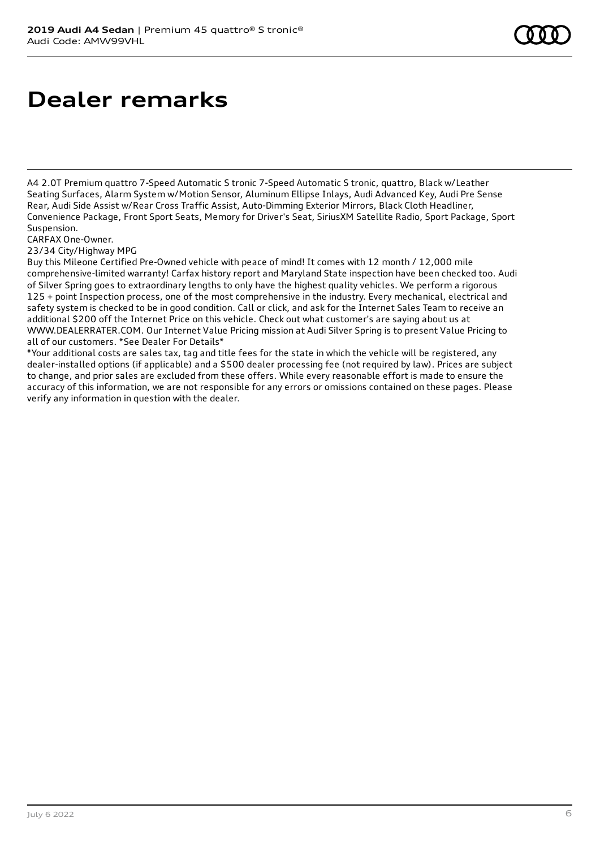# **Dealer remarks**

A4 2.0T Premium quattro 7-Speed Automatic S tronic 7-Speed Automatic S tronic, quattro, Black w/Leather Seating Surfaces, Alarm System w/Motion Sensor, Aluminum Ellipse Inlays, Audi Advanced Key, Audi Pre Sense Rear, Audi Side Assist w/Rear Cross Traffic Assist, Auto-Dimming Exterior Mirrors, Black Cloth Headliner, Convenience Package, Front Sport Seats, Memory for Driver's Seat, SiriusXM Satellite Radio, Sport Package, Sport Suspension.

CARFAX One-Owner.

23/34 City/Highway MPG

Buy this Mileone Certified Pre-Owned vehicle with peace of mind! It comes with 12 month / 12,000 mile comprehensive-limited warranty! Carfax history report and Maryland State inspection have been checked too. Audi of Silver Spring goes to extraordinary lengths to only have the highest quality vehicles. We perform a rigorous 125 + point Inspection process, one of the most comprehensive in the industry. Every mechanical, electrical and safety system is checked to be in good condition. Call or click, and ask for the Internet Sales Team to receive an additional \$200 off the Internet Price on this vehicle. Check out what customer's are saying about us at WWW.DEALERRATER.COM. Our Internet Value Pricing mission at Audi Silver Spring is to present Value Pricing to all of our customers. \*See Dealer For Details\*

\*Your additional costs are sales tax, tag and title fees for the state in which the vehicle will be registered, any dealer-installed options (if applicable) and a \$500 dealer processing fee (not required by law). Prices are subject to change, and prior sales are excluded from these offers. While every reasonable effort is made to ensure the accuracy of this information, we are not responsible for any errors or omissions contained on these pages. Please verify any information in question with the dealer.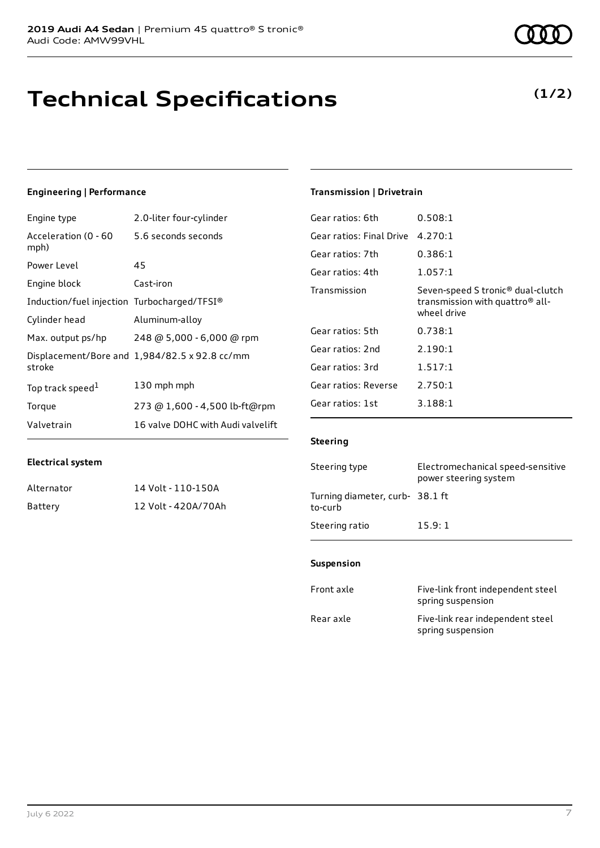# **Technical Specifications**

#### **Engineering | Performance**

| Engine type                                 | 2.0-liter four-cylinder                       |
|---------------------------------------------|-----------------------------------------------|
| Acceleration (0 - 60<br>mph)                | 5.6 seconds seconds                           |
| Power Level                                 | 45                                            |
| Engine block                                | Cast-iron                                     |
| Induction/fuel injection Turbocharged/TFSI® |                                               |
| Cylinder head                               | Aluminum-alloy                                |
| Max. output ps/hp                           | 248 @ 5,000 - 6,000 @ rpm                     |
| stroke                                      | Displacement/Bore and 1,984/82.5 x 92.8 cc/mm |
| Top track speed <sup>1</sup>                | 130 mph mph                                   |
| Torque                                      | 273 @ 1,600 - 4,500 lb-ft@rpm                 |
| Valvetrain                                  | 16 valve DOHC with Audi valvelift             |

### **Transmission | Drivetrain**

| Gear ratios: 6th         | 0.508:1                                                                                                     |
|--------------------------|-------------------------------------------------------------------------------------------------------------|
| Gear ratios: Final Drive | 4.270:1                                                                                                     |
| Gear ratios: 7th         | 0.386:1                                                                                                     |
| Gear ratios: 4th         | 1.057:1                                                                                                     |
| Transmission             | Seven-speed S tronic <sup>®</sup> dual-clutch<br>transmission with quattro <sup>®</sup> all-<br>wheel drive |
| Gear ratios: 5th         | 0.738:1                                                                                                     |
| Gear ratios: 2nd         | 2.190:1                                                                                                     |
| Gear ratios: 3rd         | 1.517:1                                                                                                     |
| Gear ratios: Reverse     | 2.750:1                                                                                                     |
| Gear ratios: 1st         | 3.188:1                                                                                                     |
|                          |                                                                                                             |

#### **Steering**

| Steering type                             | Electromechanical speed-sensitive<br>power steering system |
|-------------------------------------------|------------------------------------------------------------|
| Turning diameter, curb-38.1 ft<br>to-curb |                                                            |
| Steering ratio                            | 15.9:1                                                     |

#### **Suspension**

| Front axle | Five-link front independent steel<br>spring suspension |
|------------|--------------------------------------------------------|
| Rear axle  | Five-link rear independent steel<br>spring suspension  |

| Alternator | 14 Volt - 110-150A  |
|------------|---------------------|
| Battery    | 12 Volt - 420A/70Ah |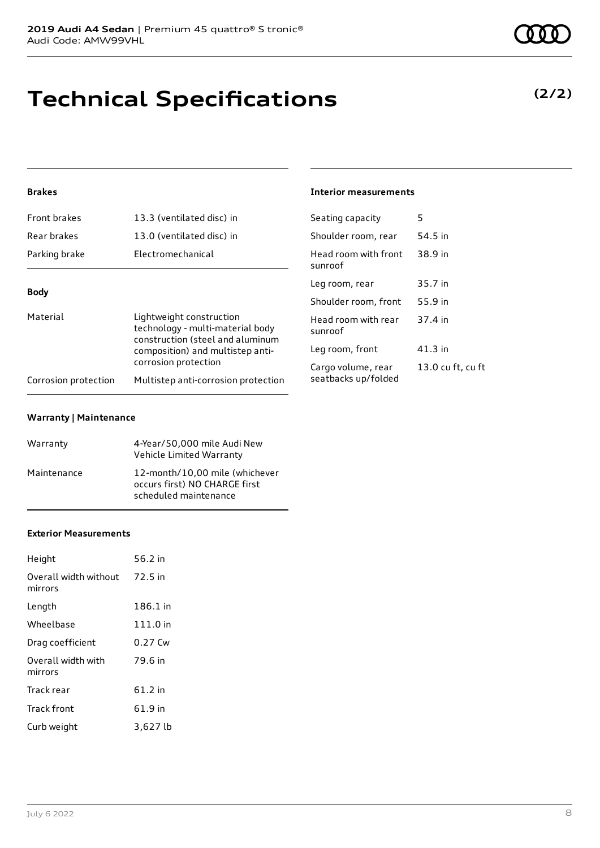# **Technical Specifications**

#### **Brakes**

| Front brakes         | 13.3 (ventilated disc) in                                                                        | Seating capacity                          |  |
|----------------------|--------------------------------------------------------------------------------------------------|-------------------------------------------|--|
| Rear brakes          | 13.0 (ventilated disc) in                                                                        | Shoulder room, rear                       |  |
| Parking brake        | Electromechanical                                                                                | Head room with front<br>sunroof           |  |
| <b>Body</b>          |                                                                                                  | Leg room, rear                            |  |
|                      |                                                                                                  | Shoulder room, front                      |  |
| Material             | Lightweight construction<br>technology - multi-material body<br>construction (steel and aluminum | Head room with rear<br>sunroof            |  |
|                      | composition) and multistep anti-                                                                 | Leg room, front                           |  |
| Corrosion protection | corrosion protection<br>Multistep anti-corrosion protection                                      | Cargo volume, rear<br>seatbacks up/folded |  |
|                      |                                                                                                  |                                           |  |

#### **Warranty | Maintenance**

| Warranty    | 4-Year/50,000 mile Audi New<br>Vehicle Limited Warranty                                  |
|-------------|------------------------------------------------------------------------------------------|
| Maintenance | 12-month/10,00 mile (whichever<br>occurs first) NO CHARGE first<br>scheduled maintenance |

#### **Exterior Measurements**

| Height                           | 56.2 in  |
|----------------------------------|----------|
| Overall width without<br>mirrors | 72.5 in  |
| Length                           | 186.1 in |
| Wheelbase                        | 111.0 in |
| Drag coefficient                 | 0.27 Cw  |
| Overall width with<br>mirrors    | 79.6 in  |
| Track rear                       | 61.2 in  |
| <b>Track front</b>               | 61.9 in  |
| Curb weight                      | 3,627 lb |

**(2/2)**

### **Interior measurements**

| Seating capacity                          | 5                 |
|-------------------------------------------|-------------------|
| Shoulder room, rear                       | 54.5 in           |
| Head room with front<br>sunroof           | 38.9 in           |
| Leg room, rear                            | 35.7 in           |
| Shoulder room, front                      | 55.9 in           |
| Head room with rear<br>sunroof            | 37.4 in           |
| Leg room, front                           | 41.3 in           |
| Cargo volume, rear<br>seatbacks up/folded | 13.0 cu ft, cu ft |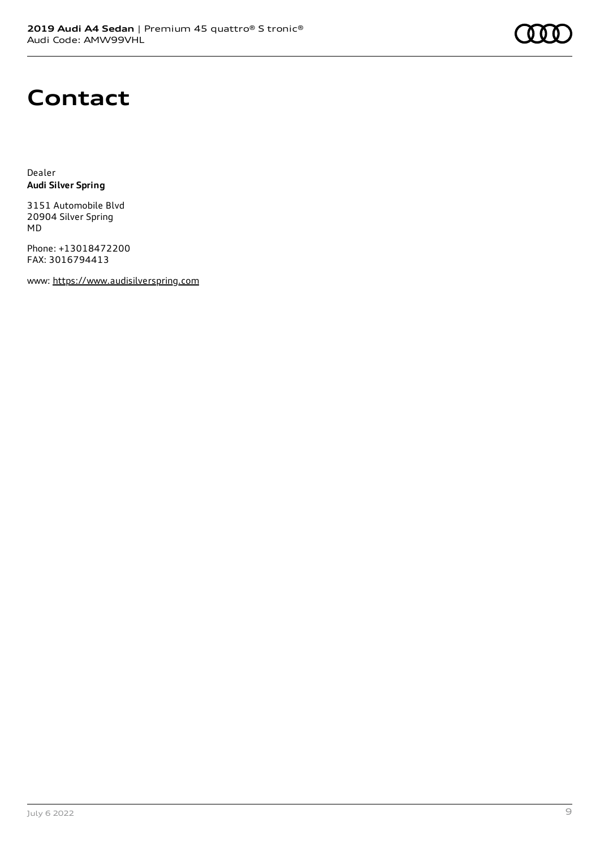

### **Contact**

Dealer **Audi Silver Spring**

3151 Automobile Blvd 20904 Silver Spring MD

Phone: +13018472200 FAX: 3016794413

www: [https://www.audisilverspring.com](https://www.audisilverspring.com/)